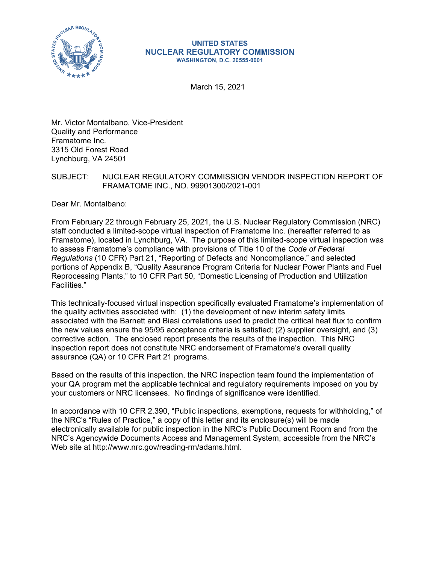

#### **UNITED STATES NUCLEAR REGULATORY COMMISSION WASHINGTON, D.C. 20555-0001**

March 15, 2021

Mr. Victor Montalbano, Vice-President Quality and Performance Framatome Inc. 3315 Old Forest Road Lynchburg, VA 24501

# SUBJECT: NUCLEAR REGULATORY COMMISSION VENDOR INSPECTION REPORT OF FRAMATOME INC., NO. 99901300/2021-001

Dear Mr. Montalbano:

From February 22 through February 25, 2021, the U.S. Nuclear Regulatory Commission (NRC) staff conducted a limited-scope virtual inspection of Framatome Inc. (hereafter referred to as Framatome), located in Lynchburg, VA. The purpose of this limited-scope virtual inspection was to assess Framatome's compliance with provisions of Title 10 of the *Code of Federal Regulations* (10 CFR) Part 21, "Reporting of Defects and Noncompliance," and selected portions of Appendix B, "Quality Assurance Program Criteria for Nuclear Power Plants and Fuel Reprocessing Plants," to 10 CFR Part 50, "Domestic Licensing of Production and Utilization Facilities."

This technically-focused virtual inspection specifically evaluated Framatome's implementation of the quality activities associated with: (1) the development of new interim safety limits associated with the Barnett and Biasi correlations used to predict the critical heat flux to confirm the new values ensure the 95/95 acceptance criteria is satisfied; (2) supplier oversight, and (3) corrective action. The enclosed report presents the results of the inspection. This NRC inspection report does not constitute NRC endorsement of Framatome's overall quality assurance (QA) or 10 CFR Part 21 programs.

Based on the results of this inspection, the NRC inspection team found the implementation of your QA program met the applicable technical and regulatory requirements imposed on you by your customers or NRC licensees. No findings of significance were identified.

In accordance with 10 CFR 2.390, "Public inspections, exemptions, requests for withholding," of the NRC's "Rules of Practice," a copy of this letter and its enclosure(s) will be made electronically available for public inspection in the NRC's Public Document Room and from the NRC's Agencywide Documents Access and Management System, accessible from the NRC's Web site at http://www.nrc.gov/reading-rm/adams.html.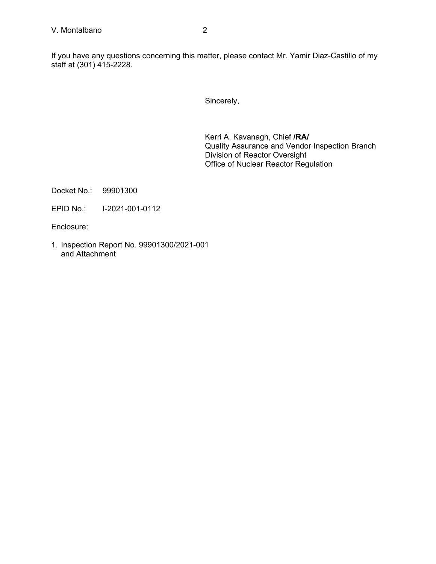If you have any questions concerning this matter, please contact Mr. Yamir Diaz-Castillo of my staff at (301) 415-2228.

Sincerely,

Kerri A. Kavanagh, Chief **/RA/**  Quality Assurance and Vendor Inspection Branch Division of Reactor Oversight Office of Nuclear Reactor Regulation

Docket No.: 99901300

EPID No.: I-2021-001-0112

Enclosure:

1. Inspection Report No. 99901300/2021-001 and Attachment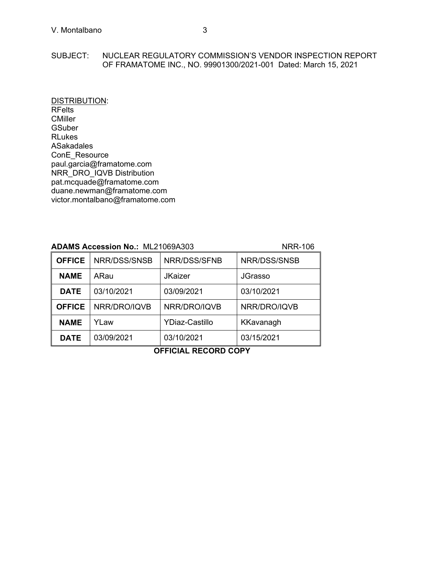#### SUBJECT: NUCLEAR REGULATORY COMMISSION'S VENDOR INSPECTION REPORT OF FRAMATOME INC., NO. 99901300/2021-001 Dated: March 15, 2021

DISTRIBUTION: RFelts **CMiller GSuber** RLukes ASakadales ConE\_Resource paul.garcia@framatome.com NRR\_DRO\_IQVB Distribution pat.mcquade@framatome.com duane.newman@framatome.com victor.montalbano@framatome.com

# **ADAMS Accession No.:** ML21069A303 NRR-106

| <b>OFFICE</b> | NRR/DSS/SNSB | NRR/DSS/SFNB          | NRR/DSS/SNSB   |
|---------------|--------------|-----------------------|----------------|
| <b>NAME</b>   | ARau         | <b>JKaizer</b>        | <b>JGrasso</b> |
| <b>DATE</b>   | 03/10/2021   | 03/09/2021            | 03/10/2021     |
| <b>OFFICE</b> | NRR/DRO/IQVB | NRR/DRO/IQVB          | NRR/DRO/IQVB   |
| <b>NAME</b>   | YLaw         | <b>YDiaz-Castillo</b> | KKavanagh      |
| <b>DATE</b>   | 03/09/2021   | 03/10/2021            | 03/15/2021     |

**OFFICIAL RECORD COPY**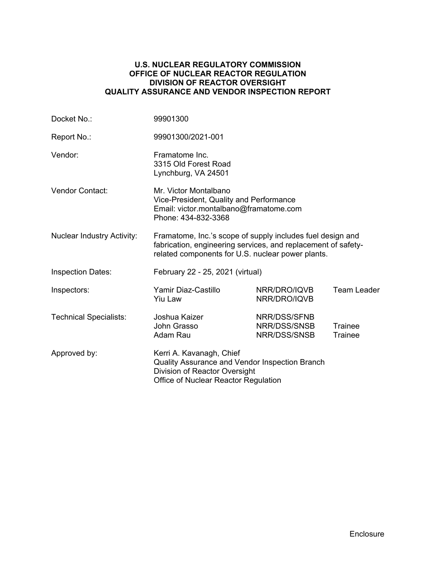# **U.S. NUCLEAR REGULATORY COMMISSION OFFICE OF NUCLEAR REACTOR REGULATION DIVISION OF REACTOR OVERSIGHT QUALITY ASSURANCE AND VENDOR INSPECTION REPORT**

| Docket No.:                       | 99901300                                                                                                                                                                         |                                              |                    |  |
|-----------------------------------|----------------------------------------------------------------------------------------------------------------------------------------------------------------------------------|----------------------------------------------|--------------------|--|
| Report No.:                       | 99901300/2021-001                                                                                                                                                                |                                              |                    |  |
| Vendor:                           | Framatome Inc.<br>3315 Old Forest Road<br>Lynchburg, VA 24501                                                                                                                    |                                              |                    |  |
| Vendor Contact:                   | Mr. Victor Montalbano<br>Vice-President, Quality and Performance<br>Email: victor.montalbano@framatome.com<br>Phone: 434-832-3368                                                |                                              |                    |  |
| <b>Nuclear Industry Activity:</b> | Framatome, Inc.'s scope of supply includes fuel design and<br>fabrication, engineering services, and replacement of safety-<br>related components for U.S. nuclear power plants. |                                              |                    |  |
| <b>Inspection Dates:</b>          | February 22 - 25, 2021 (virtual)                                                                                                                                                 |                                              |                    |  |
| Inspectors:                       | Yamir Diaz-Castillo<br><b>Yiu Law</b>                                                                                                                                            | NRR/DRO/IQVB<br>NRR/DRO/IQVB                 | <b>Team Leader</b> |  |
| <b>Technical Specialists:</b>     | Joshua Kaizer<br>John Grasso<br>Adam Rau                                                                                                                                         | NRR/DSS/SFNB<br>NRR/DSS/SNSB<br>NRR/DSS/SNSB | Trainee<br>Trainee |  |
| Approved by:                      | Kerri A. Kavanagh, Chief<br>Quality Assurance and Vendor Inspection Branch<br>Division of Reactor Oversight<br>Office of Nuclear Reactor Regulation                              |                                              |                    |  |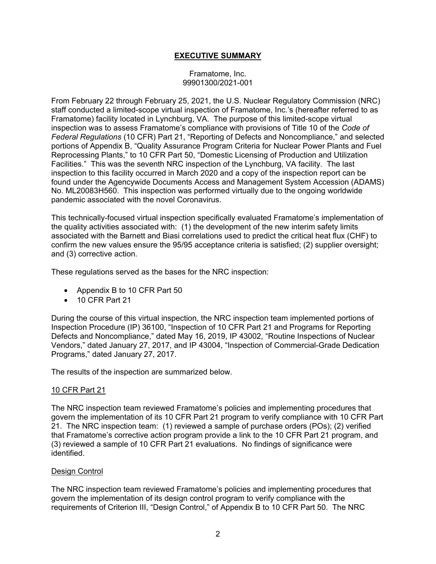# **EXECUTIVE SUMMARY**

#### Framatome, Inc. 99901300/2021-001

From February 22 through February 25, 2021, the U.S. Nuclear Regulatory Commission (NRC) staff conducted a limited-scope virtual inspection of Framatome, Inc.'s (hereafter referred to as Framatome) facility located in Lynchburg, VA. The purpose of this limited-scope virtual inspection was to assess Framatome's compliance with provisions of Title 10 of the *Code of Federal Regulations* (10 CFR) Part 21, "Reporting of Defects and Noncompliance," and selected portions of Appendix B, "Quality Assurance Program Criteria for Nuclear Power Plants and Fuel Reprocessing Plants," to 10 CFR Part 50, "Domestic Licensing of Production and Utilization Facilities." This was the seventh NRC inspection of the Lynchburg, VA facility. The last inspection to this facility occurred in March 2020 and a copy of the inspection report can be found under the Agencywide Documents Access and Management System Accession (ADAMS) No. ML20083H560. This inspection was performed virtually due to the ongoing worldwide pandemic associated with the novel Coronavirus.

This technically-focused virtual inspection specifically evaluated Framatome's implementation of the quality activities associated with: (1) the development of the new interim safety limits associated with the Barnett and Biasi correlations used to predict the critical heat flux (CHF) to confirm the new values ensure the 95/95 acceptance criteria is satisfied; (2) supplier oversight; and (3) corrective action.

These regulations served as the bases for the NRC inspection:

- Appendix B to 10 CFR Part 50
- 10 CFR Part 21

During the course of this virtual inspection, the NRC inspection team implemented portions of Inspection Procedure (IP) 36100, "Inspection of 10 CFR Part 21 and Programs for Reporting Defects and Noncompliance," dated May 16, 2019, IP 43002, "Routine Inspections of Nuclear Vendors," dated January 27, 2017, and IP 43004, "Inspection of Commercial-Grade Dedication Programs," dated January 27, 2017.

The results of the inspection are summarized below.

# 10 CFR Part 21

The NRC inspection team reviewed Framatome's policies and implementing procedures that govern the implementation of its 10 CFR Part 21 program to verify compliance with 10 CFR Part 21. The NRC inspection team: (1) reviewed a sample of purchase orders (POs); (2) verified that Framatome's corrective action program provide a link to the 10 CFR Part 21 program, and (3) reviewed a sample of 10 CFR Part 21 evaluations. No findings of significance were identified.

#### Design Control

The NRC inspection team reviewed Framatome's policies and implementing procedures that govern the implementation of its design control program to verify compliance with the requirements of Criterion III, "Design Control," of Appendix B to 10 CFR Part 50. The NRC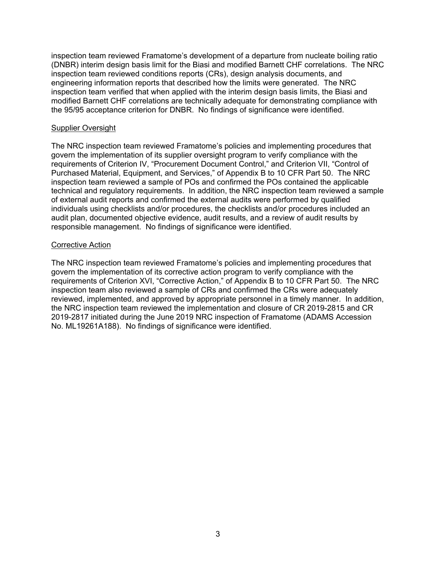inspection team reviewed Framatome's development of a departure from nucleate boiling ratio (DNBR) interim design basis limit for the Biasi and modified Barnett CHF correlations. The NRC inspection team reviewed conditions reports (CRs), design analysis documents, and engineering information reports that described how the limits were generated. The NRC inspection team verified that when applied with the interim design basis limits, the Biasi and modified Barnett CHF correlations are technically adequate for demonstrating compliance with the 95/95 acceptance criterion for DNBR. No findings of significance were identified.

#### Supplier Oversight

The NRC inspection team reviewed Framatome's policies and implementing procedures that govern the implementation of its supplier oversight program to verify compliance with the requirements of Criterion IV, "Procurement Document Control," and Criterion VII, "Control of Purchased Material, Equipment, and Services," of Appendix B to 10 CFR Part 50. The NRC inspection team reviewed a sample of POs and confirmed the POs contained the applicable technical and regulatory requirements. In addition, the NRC inspection team reviewed a sample of external audit reports and confirmed the external audits were performed by qualified individuals using checklists and/or procedures, the checklists and/or procedures included an audit plan, documented objective evidence, audit results, and a review of audit results by responsible management. No findings of significance were identified.

## Corrective Action

The NRC inspection team reviewed Framatome's policies and implementing procedures that govern the implementation of its corrective action program to verify compliance with the requirements of Criterion XVI, "Corrective Action," of Appendix B to 10 CFR Part 50. The NRC inspection team also reviewed a sample of CRs and confirmed the CRs were adequately reviewed, implemented, and approved by appropriate personnel in a timely manner. In addition, the NRC inspection team reviewed the implementation and closure of CR 2019-2815 and CR 2019-2817 initiated during the June 2019 NRC inspection of Framatome (ADAMS Accession No. ML19261A188). No findings of significance were identified.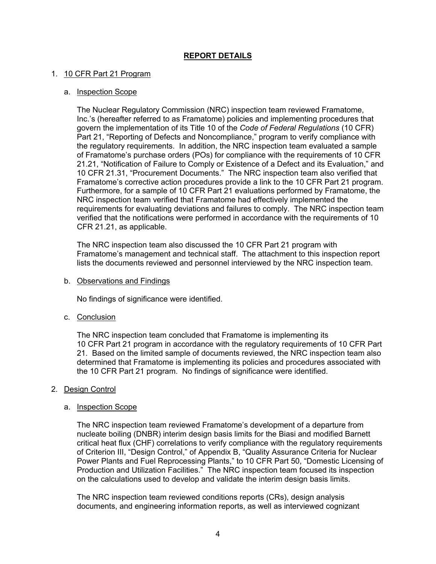# **REPORT DETAILS**

## 1. 10 CFR Part 21 Program

#### a. Inspection Scope

The Nuclear Regulatory Commission (NRC) inspection team reviewed Framatome, Inc.'s (hereafter referred to as Framatome) policies and implementing procedures that govern the implementation of its Title 10 of the *Code of Federal Regulations* (10 CFR) Part 21, "Reporting of Defects and Noncompliance," program to verify compliance with the regulatory requirements. In addition, the NRC inspection team evaluated a sample of Framatome's purchase orders (POs) for compliance with the requirements of 10 CFR 21.21, "Notification of Failure to Comply or Existence of a Defect and its Evaluation," and 10 CFR 21.31, "Procurement Documents." The NRC inspection team also verified that Framatome's corrective action procedures provide a link to the 10 CFR Part 21 program. Furthermore, for a sample of 10 CFR Part 21 evaluations performed by Framatome, the NRC inspection team verified that Framatome had effectively implemented the requirements for evaluating deviations and failures to comply. The NRC inspection team verified that the notifications were performed in accordance with the requirements of 10 CFR 21.21, as applicable.

The NRC inspection team also discussed the 10 CFR Part 21 program with Framatome's management and technical staff. The attachment to this inspection report lists the documents reviewed and personnel interviewed by the NRC inspection team.

b. Observations and Findings

No findings of significance were identified.

c. Conclusion

The NRC inspection team concluded that Framatome is implementing its 10 CFR Part 21 program in accordance with the regulatory requirements of 10 CFR Part 21. Based on the limited sample of documents reviewed, the NRC inspection team also determined that Framatome is implementing its policies and procedures associated with the 10 CFR Part 21 program. No findings of significance were identified.

#### 2. Design Control

#### a. Inspection Scope

The NRC inspection team reviewed Framatome's development of a departure from nucleate boiling (DNBR) interim design basis limits for the Biasi and modified Barnett critical heat flux (CHF) correlations to verify compliance with the regulatory requirements of Criterion III, "Design Control," of Appendix B, "Quality Assurance Criteria for Nuclear Power Plants and Fuel Reprocessing Plants," to 10 CFR Part 50, "Domestic Licensing of Production and Utilization Facilities." The NRC inspection team focused its inspection on the calculations used to develop and validate the interim design basis limits.

The NRC inspection team reviewed conditions reports (CRs), design analysis documents, and engineering information reports, as well as interviewed cognizant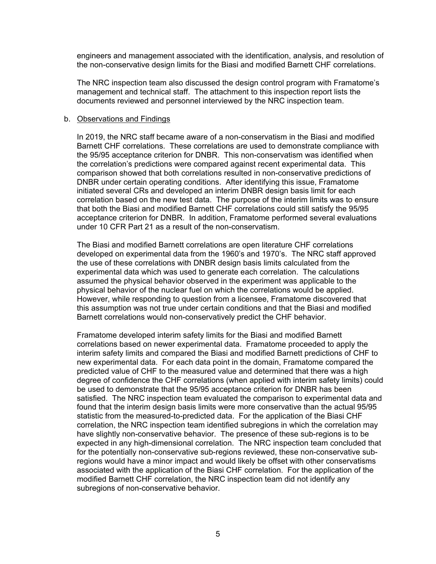engineers and management associated with the identification, analysis, and resolution of the non-conservative design limits for the Biasi and modified Barnett CHF correlations.

The NRC inspection team also discussed the design control program with Framatome's management and technical staff. The attachment to this inspection report lists the documents reviewed and personnel interviewed by the NRC inspection team.

#### b. Observations and Findings

In 2019, the NRC staff became aware of a non-conservatism in the Biasi and modified Barnett CHF correlations. These correlations are used to demonstrate compliance with the 95/95 acceptance criterion for DNBR. This non-conservatism was identified when the correlation's predictions were compared against recent experimental data. This comparison showed that both correlations resulted in non-conservative predictions of DNBR under certain operating conditions. After identifying this issue, Framatome initiated several CRs and developed an interim DNBR design basis limit for each correlation based on the new test data. The purpose of the interim limits was to ensure that both the Biasi and modified Barnett CHF correlations could still satisfy the 95/95 acceptance criterion for DNBR. In addition, Framatome performed several evaluations under 10 CFR Part 21 as a result of the non-conservatism.

The Biasi and modified Barnett correlations are open literature CHF correlations developed on experimental data from the 1960's and 1970's. The NRC staff approved the use of these correlations with DNBR design basis limits calculated from the experimental data which was used to generate each correlation. The calculations assumed the physical behavior observed in the experiment was applicable to the physical behavior of the nuclear fuel on which the correlations would be applied. However, while responding to question from a licensee, Framatome discovered that this assumption was not true under certain conditions and that the Biasi and modified Barnett correlations would non-conservatively predict the CHF behavior.

Framatome developed interim safety limits for the Biasi and modified Barnett correlations based on newer experimental data. Framatome proceeded to apply the interim safety limits and compared the Biasi and modified Barnett predictions of CHF to new experimental data. For each data point in the domain, Framatome compared the predicted value of CHF to the measured value and determined that there was a high degree of confidence the CHF correlations (when applied with interim safety limits) could be used to demonstrate that the 95/95 acceptance criterion for DNBR has been satisfied. The NRC inspection team evaluated the comparison to experimental data and found that the interim design basis limits were more conservative than the actual 95/95 statistic from the measured-to-predicted data. For the application of the Biasi CHF correlation, the NRC inspection team identified subregions in which the correlation may have slightly non-conservative behavior. The presence of these sub-regions is to be expected in any high-dimensional correlation. The NRC inspection team concluded that for the potentially non-conservative sub-regions reviewed, these non-conservative subregions would have a minor impact and would likely be offset with other conservatisms associated with the application of the Biasi CHF correlation. For the application of the modified Barnett CHF correlation, the NRC inspection team did not identify any subregions of non-conservative behavior.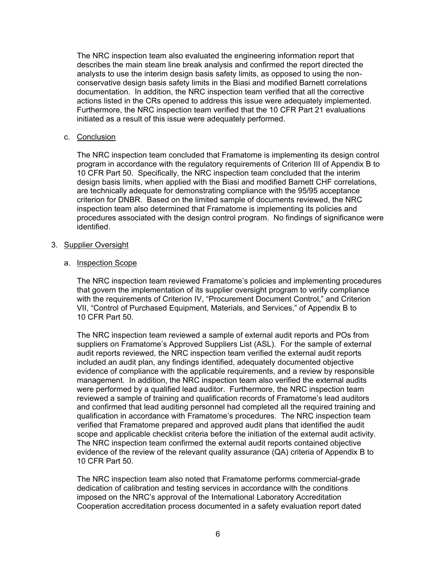The NRC inspection team also evaluated the engineering information report that describes the main steam line break analysis and confirmed the report directed the analysts to use the interim design basis safety limits, as opposed to using the nonconservative design basis safety limits in the Biasi and modified Barnett correlations documentation. In addition, the NRC inspection team verified that all the corrective actions listed in the CRs opened to address this issue were adequately implemented. Furthermore, the NRC inspection team verified that the 10 CFR Part 21 evaluations initiated as a result of this issue were adequately performed.

# c. Conclusion

The NRC inspection team concluded that Framatome is implementing its design control program in accordance with the regulatory requirements of Criterion III of Appendix B to 10 CFR Part 50. Specifically, the NRC inspection team concluded that the interim design basis limits, when applied with the Biasi and modified Barnett CHF correlations, are technically adequate for demonstrating compliance with the 95/95 acceptance criterion for DNBR. Based on the limited sample of documents reviewed, the NRC inspection team also determined that Framatome is implementing its policies and procedures associated with the design control program. No findings of significance were identified.

## 3. Supplier Oversight

## a. Inspection Scope

The NRC inspection team reviewed Framatome's policies and implementing procedures that govern the implementation of its supplier oversight program to verify compliance with the requirements of Criterion IV, "Procurement Document Control," and Criterion VII, "Control of Purchased Equipment, Materials, and Services," of Appendix B to 10 CFR Part 50.

The NRC inspection team reviewed a sample of external audit reports and POs from suppliers on Framatome's Approved Suppliers List (ASL). For the sample of external audit reports reviewed, the NRC inspection team verified the external audit reports included an audit plan, any findings identified, adequately documented objective evidence of compliance with the applicable requirements, and a review by responsible management. In addition, the NRC inspection team also verified the external audits were performed by a qualified lead auditor. Furthermore, the NRC inspection team reviewed a sample of training and qualification records of Framatome's lead auditors and confirmed that lead auditing personnel had completed all the required training and qualification in accordance with Framatome's procedures. The NRC inspection team verified that Framatome prepared and approved audit plans that identified the audit scope and applicable checklist criteria before the initiation of the external audit activity. The NRC inspection team confirmed the external audit reports contained objective evidence of the review of the relevant quality assurance (QA) criteria of Appendix B to 10 CFR Part 50.

The NRC inspection team also noted that Framatome performs commercial-grade dedication of calibration and testing services in accordance with the conditions imposed on the NRC's approval of the International Laboratory Accreditation Cooperation accreditation process documented in a safety evaluation report dated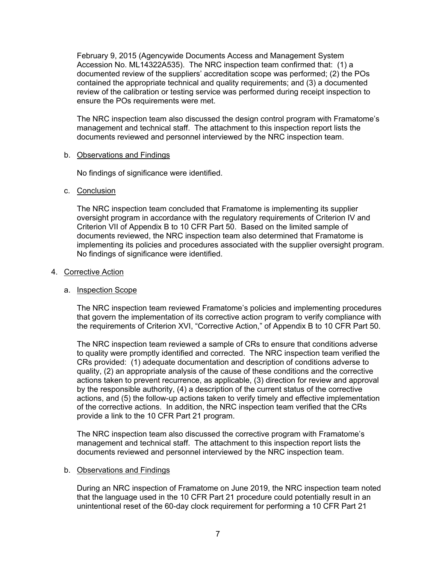February 9, 2015 (Agencywide Documents Access and Management System Accession No. ML14322A535). The NRC inspection team confirmed that: (1) a documented review of the suppliers' accreditation scope was performed; (2) the POs contained the appropriate technical and quality requirements; and (3) a documented review of the calibration or testing service was performed during receipt inspection to ensure the POs requirements were met.

The NRC inspection team also discussed the design control program with Framatome's management and technical staff. The attachment to this inspection report lists the documents reviewed and personnel interviewed by the NRC inspection team.

# b. Observations and Findings

No findings of significance were identified.

## c. Conclusion

The NRC inspection team concluded that Framatome is implementing its supplier oversight program in accordance with the regulatory requirements of Criterion IV and Criterion VII of Appendix B to 10 CFR Part 50. Based on the limited sample of documents reviewed, the NRC inspection team also determined that Framatome is implementing its policies and procedures associated with the supplier oversight program. No findings of significance were identified.

## 4. Corrective Action

# a. Inspection Scope

The NRC inspection team reviewed Framatome's policies and implementing procedures that govern the implementation of its corrective action program to verify compliance with the requirements of Criterion XVI, "Corrective Action," of Appendix B to 10 CFR Part 50.

The NRC inspection team reviewed a sample of CRs to ensure that conditions adverse to quality were promptly identified and corrected. The NRC inspection team verified the CRs provided: (1) adequate documentation and description of conditions adverse to quality, (2) an appropriate analysis of the cause of these conditions and the corrective actions taken to prevent recurrence, as applicable, (3) direction for review and approval by the responsible authority, (4) a description of the current status of the corrective actions, and (5) the follow-up actions taken to verify timely and effective implementation of the corrective actions. In addition, the NRC inspection team verified that the CRs provide a link to the 10 CFR Part 21 program.

The NRC inspection team also discussed the corrective program with Framatome's management and technical staff. The attachment to this inspection report lists the documents reviewed and personnel interviewed by the NRC inspection team.

#### b. Observations and Findings

During an NRC inspection of Framatome on June 2019, the NRC inspection team noted that the language used in the 10 CFR Part 21 procedure could potentially result in an unintentional reset of the 60-day clock requirement for performing a 10 CFR Part 21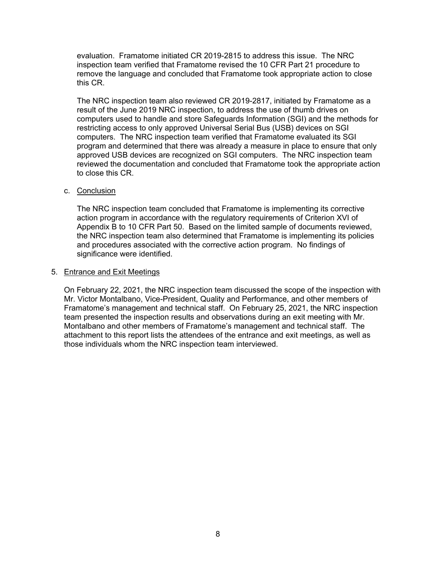evaluation. Framatome initiated CR 2019-2815 to address this issue. The NRC inspection team verified that Framatome revised the 10 CFR Part 21 procedure to remove the language and concluded that Framatome took appropriate action to close this CR.

The NRC inspection team also reviewed CR 2019-2817, initiated by Framatome as a result of the June 2019 NRC inspection, to address the use of thumb drives on computers used to handle and store Safeguards Information (SGI) and the methods for restricting access to only approved Universal Serial Bus (USB) devices on SGI computers. The NRC inspection team verified that Framatome evaluated its SGI program and determined that there was already a measure in place to ensure that only approved USB devices are recognized on SGI computers. The NRC inspection team reviewed the documentation and concluded that Framatome took the appropriate action to close this CR.

## c. Conclusion

The NRC inspection team concluded that Framatome is implementing its corrective action program in accordance with the regulatory requirements of Criterion XVI of Appendix B to 10 CFR Part 50. Based on the limited sample of documents reviewed, the NRC inspection team also determined that Framatome is implementing its policies and procedures associated with the corrective action program. No findings of significance were identified.

#### 5. Entrance and Exit Meetings

On February 22, 2021, the NRC inspection team discussed the scope of the inspection with Mr. Victor Montalbano, Vice-President, Quality and Performance, and other members of Framatome's management and technical staff. On February 25, 2021, the NRC inspection team presented the inspection results and observations during an exit meeting with Mr. Montalbano and other members of Framatome's management and technical staff. The attachment to this report lists the attendees of the entrance and exit meetings, as well as those individuals whom the NRC inspection team interviewed.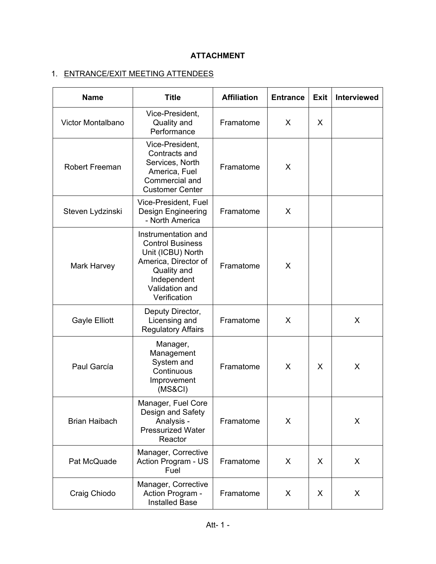# **ATTACHMENT**

# 1. ENTRANCE/EXIT MEETING ATTENDEES

| <b>Name</b>           | <b>Title</b>                                                                                                                                                | <b>Affiliation</b> | <b>Entrance</b> | <b>Exit</b> | <b>Interviewed</b> |
|-----------------------|-------------------------------------------------------------------------------------------------------------------------------------------------------------|--------------------|-----------------|-------------|--------------------|
| Victor Montalbano     | Vice-President,<br>Quality and<br>Performance                                                                                                               | Framatome          | X               | X           |                    |
| <b>Robert Freeman</b> | Vice-President,<br>Contracts and<br>Services, North<br>America, Fuel<br>Commercial and<br><b>Customer Center</b>                                            | Framatome          | X               |             |                    |
| Steven Lydzinski      | Vice-President, Fuel<br><b>Design Engineering</b><br>- North America                                                                                        | Framatome          | X               |             |                    |
| Mark Harvey           | Instrumentation and<br><b>Control Business</b><br>Unit (ICBU) North<br>America, Director of<br>Quality and<br>Independent<br>Validation and<br>Verification | Framatome          | X               |             |                    |
| Gayle Elliott         | Deputy Director,<br>Licensing and<br><b>Regulatory Affairs</b>                                                                                              | Framatome          | X               |             | X                  |
| Paul García           | Manager,<br>Management<br>System and<br>Continuous<br>Improvement<br>(MS&CI)                                                                                | Framatome          | X               | X           | X                  |
| <b>Brian Haibach</b>  | Manager, Fuel Core<br>Design and Safety<br>Analysis -<br><b>Pressurized Water</b><br>Reactor                                                                | Framatome          | X               |             | X                  |
| Pat McQuade           | Manager, Corrective<br>Action Program - US<br>Fuel                                                                                                          | Framatome          | X               | X           | X                  |
| Craig Chiodo          | Manager, Corrective<br>Action Program -<br><b>Installed Base</b>                                                                                            | Framatome          | X               | X           | X                  |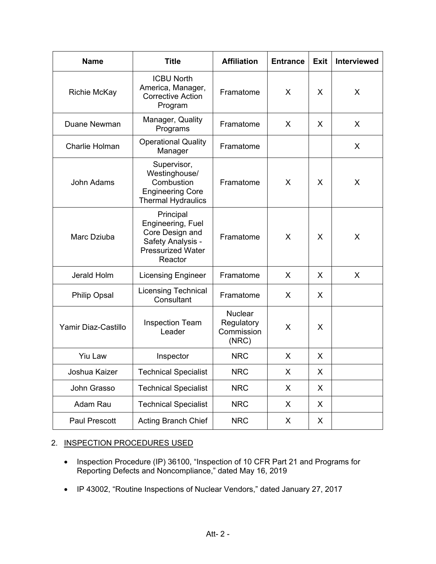| <b>Name</b>         | <b>Title</b>                                                                                                  | <b>Affiliation</b>                                  | <b>Entrance</b> | <b>Exit</b> | <b>Interviewed</b> |
|---------------------|---------------------------------------------------------------------------------------------------------------|-----------------------------------------------------|-----------------|-------------|--------------------|
| <b>Richie McKay</b> | <b>ICBU North</b><br>America, Manager,<br><b>Corrective Action</b><br>Program                                 | Framatome                                           | X.              | X           | X                  |
| Duane Newman        | Manager, Quality<br>Programs                                                                                  | Framatome                                           | $\sf X$         | X           | X                  |
| Charlie Holman      | <b>Operational Quality</b><br>Manager                                                                         | Framatome                                           |                 |             | X                  |
| <b>John Adams</b>   | Supervisor,<br>Westinghouse/<br>Combustion<br><b>Engineering Core</b><br><b>Thermal Hydraulics</b>            | Framatome                                           | X               | X           | X                  |
| Marc Dziuba         | Principal<br>Engineering, Fuel<br>Core Design and<br>Safety Analysis -<br><b>Pressurized Water</b><br>Reactor | Framatome                                           | X               | X           | X                  |
| Jerald Holm         | <b>Licensing Engineer</b>                                                                                     | Framatome                                           | $\mathsf{X}$    | X           | X                  |
| <b>Philip Opsal</b> | <b>Licensing Technical</b><br>Consultant                                                                      | Framatome                                           | X               | X           |                    |
| Yamir Diaz-Castillo | <b>Inspection Team</b><br>Leader                                                                              | <b>Nuclear</b><br>Regulatory<br>Commission<br>(NRC) | X               | X           |                    |
| <b>Yiu Law</b>      | Inspector                                                                                                     | <b>NRC</b>                                          | X.              | X           |                    |
| Joshua Kaizer       | <b>Technical Specialist</b>                                                                                   | NRC                                                 | X               | X           |                    |
| John Grasso         | <b>Technical Specialist</b>                                                                                   | <b>NRC</b>                                          | X               | X           |                    |
| Adam Rau            | <b>Technical Specialist</b>                                                                                   | <b>NRC</b>                                          | X               | X           |                    |
| Paul Prescott       | <b>Acting Branch Chief</b>                                                                                    | <b>NRC</b>                                          | X               | X           |                    |

# 2. INSPECTION PROCEDURES USED

- Inspection Procedure (IP) 36100, "Inspection of 10 CFR Part 21 and Programs for Reporting Defects and Noncompliance," dated May 16, 2019
- IP 43002, "Routine Inspections of Nuclear Vendors," dated January 27, 2017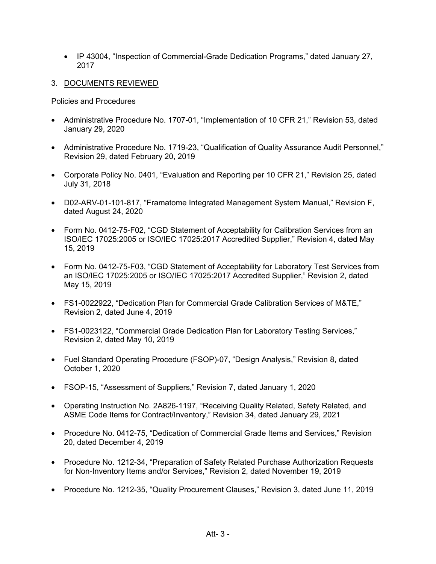- IP 43004, "Inspection of Commercial-Grade Dedication Programs," dated January 27, 2017
- 3. DOCUMENTS REVIEWED

#### Policies and Procedures

- Administrative Procedure No. 1707-01, "Implementation of 10 CFR 21," Revision 53, dated January 29, 2020
- Administrative Procedure No. 1719-23, "Qualification of Quality Assurance Audit Personnel," Revision 29, dated February 20, 2019
- Corporate Policy No. 0401, "Evaluation and Reporting per 10 CFR 21," Revision 25, dated July 31, 2018
- D02-ARV-01-101-817, "Framatome Integrated Management System Manual," Revision F, dated August 24, 2020
- Form No. 0412-75-F02, "CGD Statement of Acceptability for Calibration Services from an ISO/IEC 17025:2005 or ISO/IEC 17025:2017 Accredited Supplier," Revision 4, dated May 15, 2019
- Form No. 0412-75-F03, "CGD Statement of Acceptability for Laboratory Test Services from an ISO/IEC 17025:2005 or ISO/IEC 17025:2017 Accredited Supplier," Revision 2, dated May 15, 2019
- FS1-0022922, "Dedication Plan for Commercial Grade Calibration Services of M&TE," Revision 2, dated June 4, 2019
- FS1-0023122, "Commercial Grade Dedication Plan for Laboratory Testing Services," Revision 2, dated May 10, 2019
- Fuel Standard Operating Procedure (FSOP)-07, "Design Analysis," Revision 8, dated October 1, 2020
- FSOP-15, "Assessment of Suppliers," Revision 7, dated January 1, 2020
- Operating Instruction No. 2A826-1197, "Receiving Quality Related, Safety Related, and ASME Code Items for Contract/Inventory," Revision 34, dated January 29, 2021
- Procedure No. 0412-75, "Dedication of Commercial Grade Items and Services," Revision 20, dated December 4, 2019
- Procedure No. 1212-34, "Preparation of Safety Related Purchase Authorization Requests for Non-Inventory Items and/or Services," Revision 2, dated November 19, 2019
- Procedure No. 1212-35, "Quality Procurement Clauses," Revision 3, dated June 11, 2019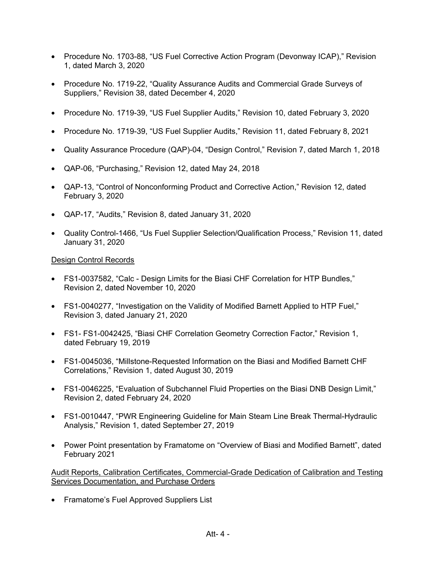- Procedure No. 1703-88, "US Fuel Corrective Action Program (Devonway ICAP)," Revision 1, dated March 3, 2020
- Procedure No. 1719-22, "Quality Assurance Audits and Commercial Grade Surveys of Suppliers," Revision 38, dated December 4, 2020
- Procedure No. 1719-39, "US Fuel Supplier Audits," Revision 10, dated February 3, 2020
- Procedure No. 1719-39, "US Fuel Supplier Audits," Revision 11, dated February 8, 2021
- Quality Assurance Procedure (QAP)-04, "Design Control," Revision 7, dated March 1, 2018
- QAP-06, "Purchasing," Revision 12, dated May 24, 2018
- QAP-13, "Control of Nonconforming Product and Corrective Action," Revision 12, dated February 3, 2020
- QAP-17, "Audits," Revision 8, dated January 31, 2020
- Quality Control-1466, "Us Fuel Supplier Selection/Qualification Process," Revision 11, dated January 31, 2020

## Design Control Records

- FS1-0037582, "Calc Design Limits for the Biasi CHF Correlation for HTP Bundles," Revision 2, dated November 10, 2020
- FS1-0040277, "Investigation on the Validity of Modified Barnett Applied to HTP Fuel," Revision 3, dated January 21, 2020
- FS1- FS1-0042425, "Biasi CHF Correlation Geometry Correction Factor," Revision 1, dated February 19, 2019
- FS1-0045036, "Millstone-Requested Information on the Biasi and Modified Barnett CHF Correlations," Revision 1, dated August 30, 2019
- FS1-0046225, "Evaluation of Subchannel Fluid Properties on the Biasi DNB Design Limit," Revision 2, dated February 24, 2020
- FS1-0010447, "PWR Engineering Guideline for Main Steam Line Break Thermal-Hydraulic Analysis," Revision 1, dated September 27, 2019
- Power Point presentation by Framatome on "Overview of Biasi and Modified Barnett", dated February 2021

Audit Reports, Calibration Certificates, Commercial-Grade Dedication of Calibration and Testing Services Documentation, and Purchase Orders

• Framatome's Fuel Approved Suppliers List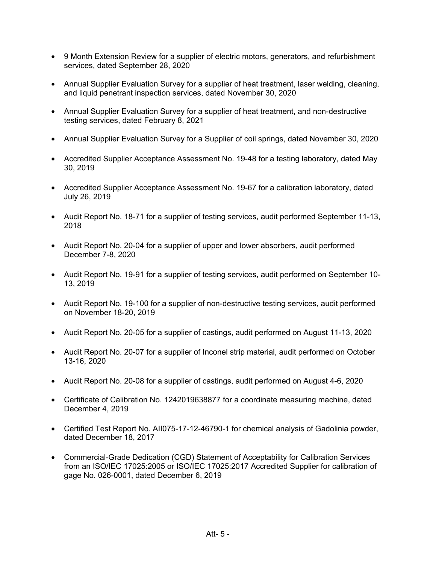- 9 Month Extension Review for a supplier of electric motors, generators, and refurbishment services, dated September 28, 2020
- Annual Supplier Evaluation Survey for a supplier of heat treatment, laser welding, cleaning, and liquid penetrant inspection services, dated November 30, 2020
- Annual Supplier Evaluation Survey for a supplier of heat treatment, and non-destructive testing services, dated February 8, 2021
- Annual Supplier Evaluation Survey for a Supplier of coil springs, dated November 30, 2020
- Accredited Supplier Acceptance Assessment No. 19-48 for a testing laboratory, dated May 30, 2019
- Accredited Supplier Acceptance Assessment No. 19-67 for a calibration laboratory, dated July 26, 2019
- Audit Report No. 18-71 for a supplier of testing services, audit performed September 11-13, 2018
- Audit Report No. 20-04 for a supplier of upper and lower absorbers, audit performed December 7-8, 2020
- Audit Report No. 19-91 for a supplier of testing services, audit performed on September 10- 13, 2019
- Audit Report No. 19-100 for a supplier of non-destructive testing services, audit performed on November 18-20, 2019
- Audit Report No. 20-05 for a supplier of castings, audit performed on August 11-13, 2020
- Audit Report No. 20-07 for a supplier of Inconel strip material, audit performed on October 13-16, 2020
- Audit Report No. 20-08 for a supplier of castings, audit performed on August 4-6, 2020
- Certificate of Calibration No. 1242019638877 for a coordinate measuring machine, dated December 4, 2019
- Certified Test Report No. AII075-17-12-46790-1 for chemical analysis of Gadolinia powder, dated December 18, 2017
- Commercial-Grade Dedication (CGD) Statement of Acceptability for Calibration Services from an ISO/IEC 17025:2005 or ISO/IEC 17025:2017 Accredited Supplier for calibration of gage No. 026-0001, dated December 6, 2019